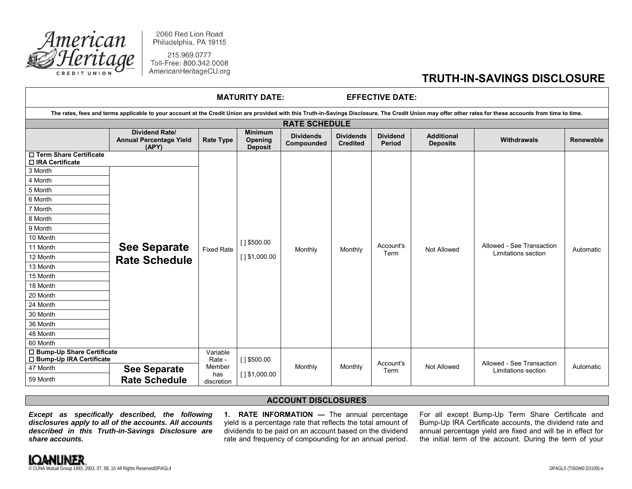

2060 Red Lion Road Philadelphia, PA 19115

215.969.0777 Toll-Free: 800.342.0008 AmericanHeritageCU.org

## **TRUTH-IN-SAVINGS DISCLOSURE**

| <b>MATURITY DATE:</b><br><b>EFFECTIVE DATE:</b>                                                                                                                                                           |                                                                  |                    |                                                    |                                |                                     |                           |                                      |                                                  |           |  |
|-----------------------------------------------------------------------------------------------------------------------------------------------------------------------------------------------------------|------------------------------------------------------------------|--------------------|----------------------------------------------------|--------------------------------|-------------------------------------|---------------------------|--------------------------------------|--------------------------------------------------|-----------|--|
| The rates, fees and terms applicable to your account at the Credit Union are provided with this Truth-in-Savings Disclosure. The Credit Union may offer other rates for these accounts from time to time. |                                                                  |                    |                                                    |                                |                                     |                           |                                      |                                                  |           |  |
| <b>RATE SCHEDULE</b>                                                                                                                                                                                      |                                                                  |                    |                                                    |                                |                                     |                           |                                      |                                                  |           |  |
|                                                                                                                                                                                                           | <b>Dividend Rate/</b><br><b>Annual Percentage Yield</b><br>(APY) | <b>Rate Type</b>   | <b>Minimum</b><br><b>Opening</b><br><b>Deposit</b> | <b>Dividends</b><br>Compounded | <b>Dividends</b><br><b>Credited</b> | <b>Dividend</b><br>Period | <b>Additional</b><br><b>Deposits</b> | Withdrawals                                      | Renewable |  |
| □ Term Share Certificate<br>□ IRA Certificate                                                                                                                                                             |                                                                  |                    |                                                    |                                |                                     |                           |                                      |                                                  |           |  |
| 3 Month                                                                                                                                                                                                   | <b>See Separate</b><br><b>Rate Schedule</b>                      | <b>Fixed Rate</b>  | $[ ]$ \$500.00<br>$[ ]$ \$1,000.00                 | Monthly                        | Monthly                             | Account's<br>Term         | Not Allowed                          | Allowed - See Transaction<br>Limitations section | Automatic |  |
| 4 Month                                                                                                                                                                                                   |                                                                  |                    |                                                    |                                |                                     |                           |                                      |                                                  |           |  |
| 5 Month                                                                                                                                                                                                   |                                                                  |                    |                                                    |                                |                                     |                           |                                      |                                                  |           |  |
| 6 Month                                                                                                                                                                                                   |                                                                  |                    |                                                    |                                |                                     |                           |                                      |                                                  |           |  |
| 7 Month                                                                                                                                                                                                   |                                                                  |                    |                                                    |                                |                                     |                           |                                      |                                                  |           |  |
| 8 Month                                                                                                                                                                                                   |                                                                  |                    |                                                    |                                |                                     |                           |                                      |                                                  |           |  |
| 9 Month                                                                                                                                                                                                   |                                                                  |                    |                                                    |                                |                                     |                           |                                      |                                                  |           |  |
| 10 Month                                                                                                                                                                                                  |                                                                  |                    |                                                    |                                |                                     |                           |                                      |                                                  |           |  |
| 11 Month                                                                                                                                                                                                  |                                                                  |                    |                                                    |                                |                                     |                           |                                      |                                                  |           |  |
| 12 Month                                                                                                                                                                                                  |                                                                  |                    |                                                    |                                |                                     |                           |                                      |                                                  |           |  |
| 13 Month                                                                                                                                                                                                  |                                                                  |                    |                                                    |                                |                                     |                           |                                      |                                                  |           |  |
| 15 Month                                                                                                                                                                                                  |                                                                  |                    |                                                    |                                |                                     |                           |                                      |                                                  |           |  |
| 18 Month                                                                                                                                                                                                  |                                                                  |                    |                                                    |                                |                                     |                           |                                      |                                                  |           |  |
| 20 Month                                                                                                                                                                                                  |                                                                  |                    |                                                    |                                |                                     |                           |                                      |                                                  |           |  |
| 24 Month                                                                                                                                                                                                  |                                                                  |                    |                                                    |                                |                                     |                           |                                      |                                                  |           |  |
| 30 Month                                                                                                                                                                                                  |                                                                  |                    |                                                    |                                |                                     |                           |                                      |                                                  |           |  |
| 36 Month                                                                                                                                                                                                  |                                                                  |                    |                                                    |                                |                                     |                           |                                      |                                                  |           |  |
| 48 Month                                                                                                                                                                                                  |                                                                  |                    |                                                    |                                |                                     |                           |                                      |                                                  |           |  |
| 60 Month                                                                                                                                                                                                  |                                                                  |                    |                                                    |                                |                                     |                           |                                      |                                                  |           |  |
| □ Bump-Up Share Certificate<br>□ Bump-Up IRA Certificate                                                                                                                                                  |                                                                  | Variable<br>Rate - | $[ ]$ \$500.00                                     |                                |                                     | Account's                 |                                      | Allowed - See Transaction                        |           |  |
| 47 Month                                                                                                                                                                                                  | <b>See Separate</b>                                              | Member             |                                                    | Monthly                        | Monthly                             | Term                      | Not Allowed                          | Limitations section                              | Automatic |  |
| 59 Month                                                                                                                                                                                                  | has<br><b>Rate Schedule</b><br>discretion                        | $[ ]$ \$1,000.00   |                                                    |                                |                                     |                           |                                      |                                                  |           |  |

## **ACCOUNT DISCLOSURES**

*Except as specifically described, the following disclosures apply to all of the accounts. All accounts described in this Truth-in-Savings Disclosure are share accounts.*

**1. RATE INFORMATION —** The annual percentage yield is a percentage rate that reflects the total amount of dividends to be paid on an account based on the dividend rate and frequency of compounding for an annual period.

For all except Bump-Up Term Share Certificate and Bump-Up IRA Certificate accounts, the dividend rate and annual percentage yield are fixed and will be in effect for the initial term of the account. During the term of your